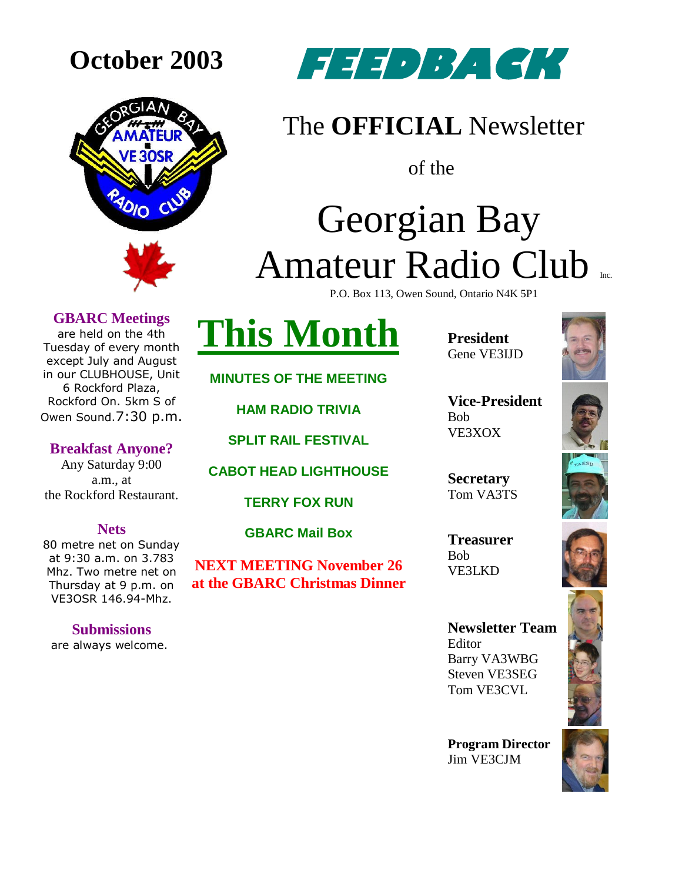



### The **OFFICIAL** Newsletter

of the

### Georgian Bay Amateur Radio Club P.O. Box 113, Owen Sound, Ontario N4K 5P1

#### **GBARC Meetings**

are held on the 4th Tuesday of every month except July and August in our CLUBHOUSE, Unit 6 Rockford Plaza, Rockford On. 5km S of Owen Sound.7:30 p.m.

#### **Breakfast Anyone?**

Any Saturday 9:00 a.m., at the Rockford Restaurant.

#### **Nets**

80 metre net on Sunday at 9:30 a.m. on 3.783 Mhz. Two metre net on Thursday at 9 p.m. on VE3OSR 146.94-Mhz.

#### **Submissions**

are always welcome.

**MINUTES OF THE MEETING**

**This Month**

**HAM RADIO TRIVIA**

**SPLIT RAIL FESTIVAL**

**CABOT HEAD LIGHTHOUSE** 

**TERRY FOX RUN**

**GBARC Mail Box**

**NEXT MEETING November 26 at the GBARC Christmas Dinner** **President** Gene VE3IJD

**Vice-President** Bob VE3XOX

**Secretary** Tom VA3TS

**Treasurer** Bob VE3LKD



**Newsletter Team Editor** Barry VA3WBG Steven VE3SEG Tom VE3CVL

**Program Director** Jim VE3CJM

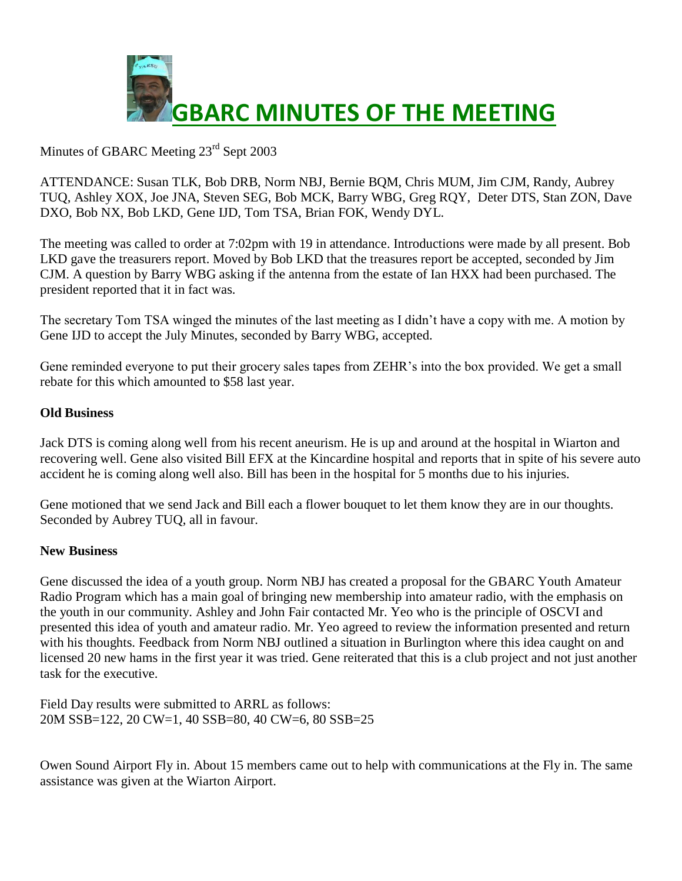

### Minutes of GBARC Meeting 23<sup>rd</sup> Sept 2003

ATTENDANCE: Susan TLK, Bob DRB, Norm NBJ, Bernie BQM, Chris MUM, Jim CJM, Randy, Aubrey TUQ, Ashley XOX, Joe JNA, Steven SEG, Bob MCK, Barry WBG, Greg RQY, Deter DTS, Stan ZON, Dave DXO, Bob NX, Bob LKD, Gene IJD, Tom TSA, Brian FOK, Wendy DYL.

The meeting was called to order at 7:02pm with 19 in attendance. Introductions were made by all present. Bob LKD gave the treasurers report. Moved by Bob LKD that the treasures report be accepted, seconded by Jim CJM. A question by Barry WBG asking if the antenna from the estate of Ian HXX had been purchased. The president reported that it in fact was.

The secretary Tom TSA winged the minutes of the last meeting as I didn't have a copy with me. A motion by Gene IJD to accept the July Minutes, seconded by Barry WBG, accepted.

Gene reminded everyone to put their grocery sales tapes from ZEHR's into the box provided. We get a small rebate for this which amounted to \$58 last year.

#### **Old Business**

Jack DTS is coming along well from his recent aneurism. He is up and around at the hospital in Wiarton and recovering well. Gene also visited Bill EFX at the Kincardine hospital and reports that in spite of his severe auto accident he is coming along well also. Bill has been in the hospital for 5 months due to his injuries.

Gene motioned that we send Jack and Bill each a flower bouquet to let them know they are in our thoughts. Seconded by Aubrey TUQ, all in favour.

#### **New Business**

Gene discussed the idea of a youth group. Norm NBJ has created a proposal for the GBARC Youth Amateur Radio Program which has a main goal of bringing new membership into amateur radio, with the emphasis on the youth in our community. Ashley and John Fair contacted Mr. Yeo who is the principle of OSCVI and presented this idea of youth and amateur radio. Mr. Yeo agreed to review the information presented and return with his thoughts. Feedback from Norm NBJ outlined a situation in Burlington where this idea caught on and licensed 20 new hams in the first year it was tried. Gene reiterated that this is a club project and not just another task for the executive.

Field Day results were submitted to ARRL as follows: 20M SSB=122, 20 CW=1, 40 SSB=80, 40 CW=6, 80 SSB=25

Owen Sound Airport Fly in. About 15 members came out to help with communications at the Fly in. The same assistance was given at the Wiarton Airport.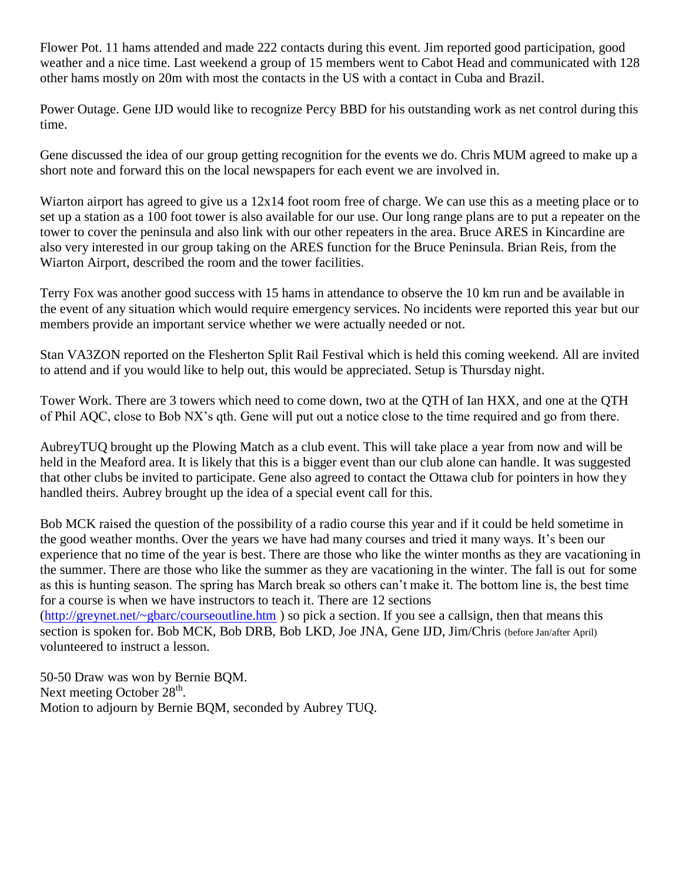Flower Pot. 11 hams attended and made 222 contacts during this event. Jim reported good participation, good weather and a nice time. Last weekend a group of 15 members went to Cabot Head and communicated with 128 other hams mostly on 20m with most the contacts in the US with a contact in Cuba and Brazil.

Power Outage. Gene IJD would like to recognize Percy BBD for his outstanding work as net control during this time.

Gene discussed the idea of our group getting recognition for the events we do. Chris MUM agreed to make up a short note and forward this on the local newspapers for each event we are involved in.

Wiarton airport has agreed to give us a 12x14 foot room free of charge. We can use this as a meeting place or to set up a station as a 100 foot tower is also available for our use. Our long range plans are to put a repeater on the tower to cover the peninsula and also link with our other repeaters in the area. Bruce ARES in Kincardine are also very interested in our group taking on the ARES function for the Bruce Peninsula. Brian Reis, from the Wiarton Airport, described the room and the tower facilities.

Terry Fox was another good success with 15 hams in attendance to observe the 10 km run and be available in the event of any situation which would require emergency services. No incidents were reported this year but our members provide an important service whether we were actually needed or not.

Stan VA3ZON reported on the Flesherton Split Rail Festival which is held this coming weekend. All are invited to attend and if you would like to help out, this would be appreciated. Setup is Thursday night.

Tower Work. There are 3 towers which need to come down, two at the QTH of Ian HXX, and one at the QTH of Phil AQC, close to Bob NX's qth. Gene will put out a notice close to the time required and go from there.

AubreyTUQ brought up the Plowing Match as a club event. This will take place a year from now and will be held in the Meaford area. It is likely that this is a bigger event than our club alone can handle. It was suggested that other clubs be invited to participate. Gene also agreed to contact the Ottawa club for pointers in how they handled theirs. Aubrey brought up the idea of a special event call for this.

Bob MCK raised the question of the possibility of a radio course this year and if it could be held sometime in the good weather months. Over the years we have had many courses and tried it many ways. It's been our experience that no time of the year is best. There are those who like the winter months as they are vacationing in the summer. There are those who like the summer as they are vacationing in the winter. The fall is out for some as this is hunting season. The spring has March break so others can't make it. The bottom line is, the best time for a course is when we have instructors to teach it. There are 12 sections [\(http://greynet.net/~gbarc/courseoutline.htm](http://greynet.net/~gbarc/courseoutline.htm) ) so pick a section. If you see a callsign, then that means this

section is spoken for. Bob MCK, Bob DRB, Bob LKD, Joe JNA, Gene IJD, Jim/Chris (before Jan/after April) volunteered to instruct a lesson.

50-50 Draw was won by Bernie BQM. Next meeting October  $28<sup>th</sup>$ . Motion to adjourn by Bernie BQM, seconded by Aubrey TUQ.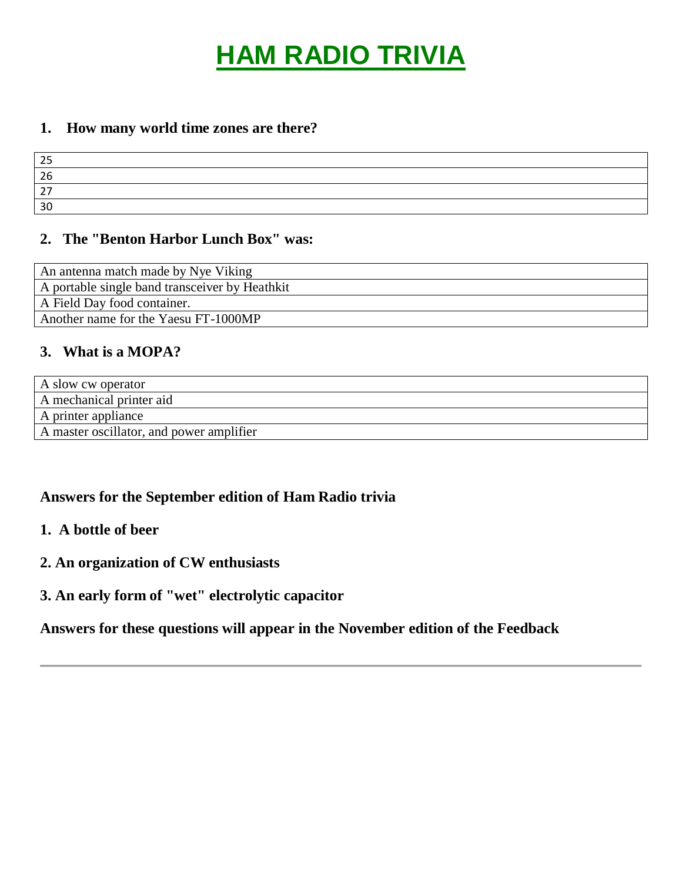## **HAM RADIO TRIVIA**

#### **1. How many world time zones are there?**

| つら         |  |
|------------|--|
| 26         |  |
| $-$<br>. . |  |
| 30         |  |

#### **2. The "Benton Harbor Lunch Box" was:**

| An antenna match made by Nye Viking            |
|------------------------------------------------|
| A portable single band transceiver by Heathkit |
| A Field Day food container.                    |
| Another name for the Yaesu FT-1000MP           |

#### **3. What is a MOPA?**

| A slow cw operator                       |
|------------------------------------------|
| A mechanical printer aid                 |
| A printer appliance                      |
| A master oscillator, and power amplifier |

### **Answers for the September edition of Ham Radio trivia**

#### **1. A bottle of beer**

#### **2. An organization of CW enthusiasts**

**3. An early form of "wet" electrolytic capacitor**

**Answers for these questions will appear in the November edition of the Feedback**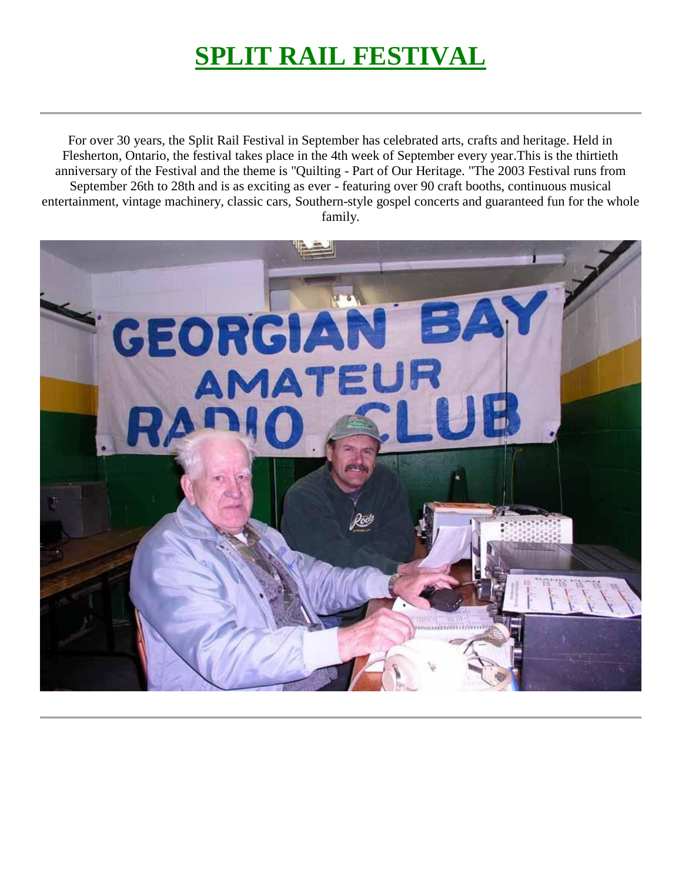### **SPLIT RAIL FESTIVAL**

For over 30 years, the Split Rail Festival in September has celebrated arts, crafts and heritage. Held in Flesherton, Ontario, the festival takes place in the 4th week of September every year.This is the thirtieth anniversary of the Festival and the theme is "Quilting - Part of Our Heritage. "The 2003 Festival runs from September 26th to 28th and is as exciting as ever - featuring over 90 craft booths, continuous musical entertainment, vintage machinery, classic cars, Southern-style gospel concerts and guaranteed fun for the whole family.

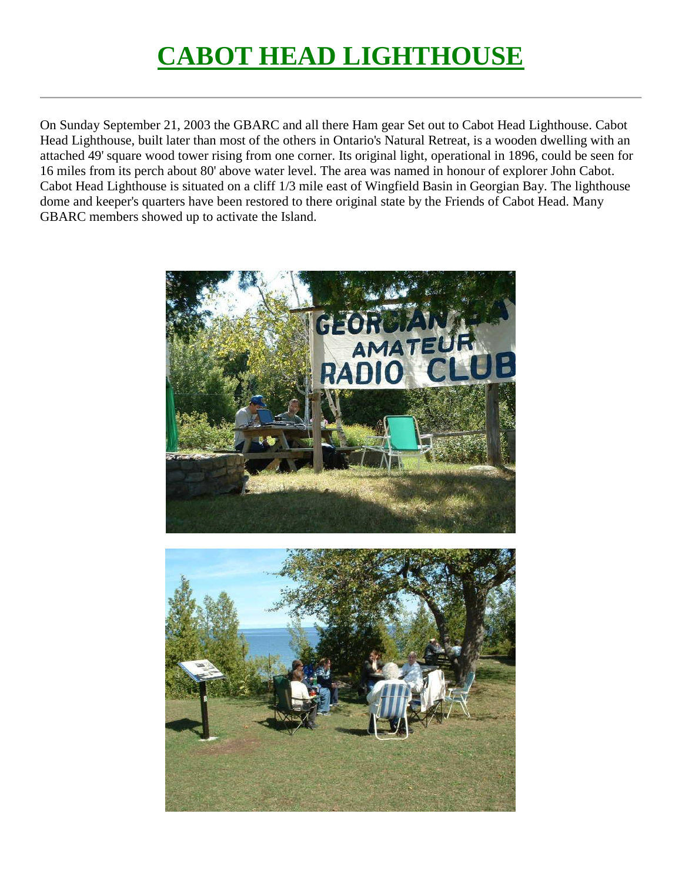### **CABOT HEAD LIGHTHOUSE**

On Sunday September 21, 2003 the GBARC and all there Ham gear Set out to Cabot Head Lighthouse. Cabot Head Lighthouse, built later than most of the others in Ontario's Natural Retreat, is a wooden dwelling with an attached 49' square wood tower rising from one corner. Its original light, operational in 1896, could be seen for 16 miles from its perch about 80' above water level. The area was named in honour of explorer John Cabot. Cabot Head Lighthouse is situated on a cliff 1/3 mile east of Wingfield Basin in Georgian Bay. The lighthouse dome and keeper's quarters have been restored to there original state by the Friends of Cabot Head. Many GBARC members showed up to activate the Island.



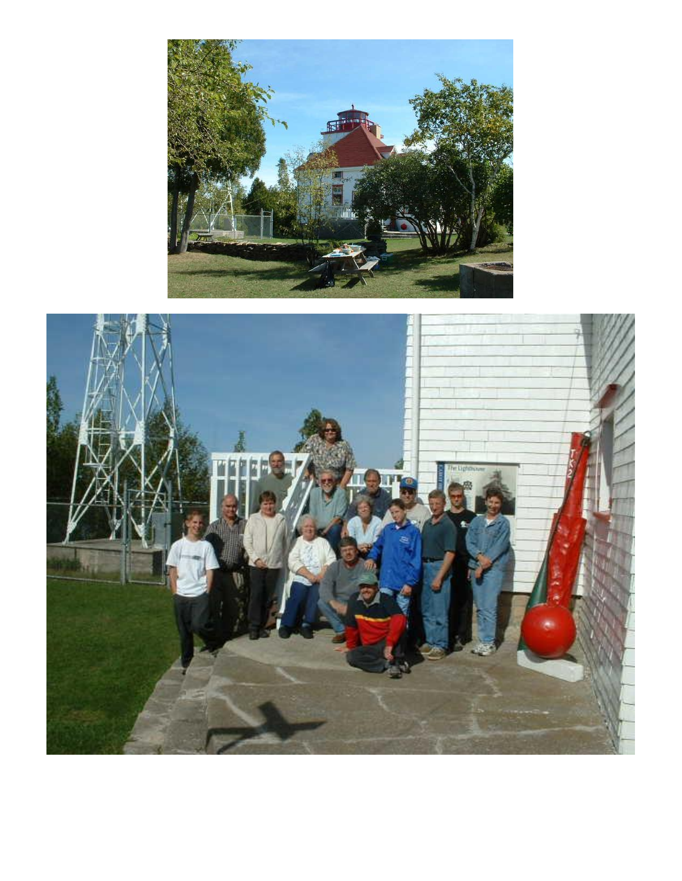

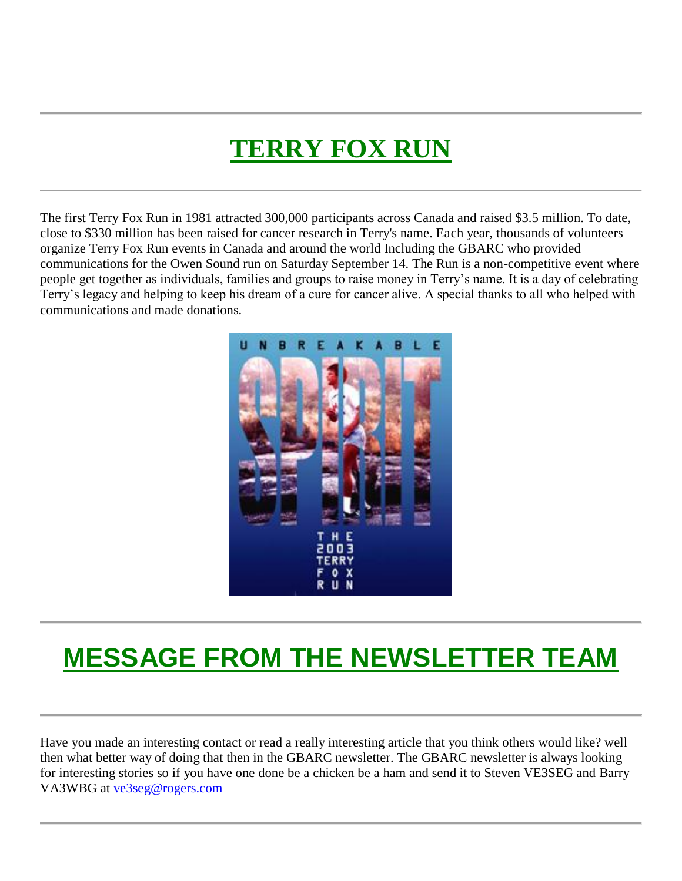### **TERRY FOX RUN**

The first Terry Fox Run in 1981 attracted 300,000 participants across Canada and raised \$3.5 million. To date, close to \$330 million has been raised for cancer research in Terry's name. Each year, thousands of volunteers organize Terry Fox Run events in Canada and around the world Including the GBARC who provided communications for the Owen Sound run on Saturday September 14. The Run is a non-competitive event where people get together as individuals, families and groups to raise money in Terry's name. It is a day of celebrating Terry's legacy and helping to keep his dream of a cure for cancer alive. A special thanks to all who helped with communications and made donations.



### **MESSAGE FROM THE NEWSLETTER TEAM**

Have you made an interesting contact or read a really interesting article that you think others would like? well then what better way of doing that then in the GBARC newsletter. The GBARC newsletter is always looking for interesting stories so if you have one done be a chicken be a ham and send it to Steven VE3SEG and Barry VA3WBG at ve3seg@rogers.com